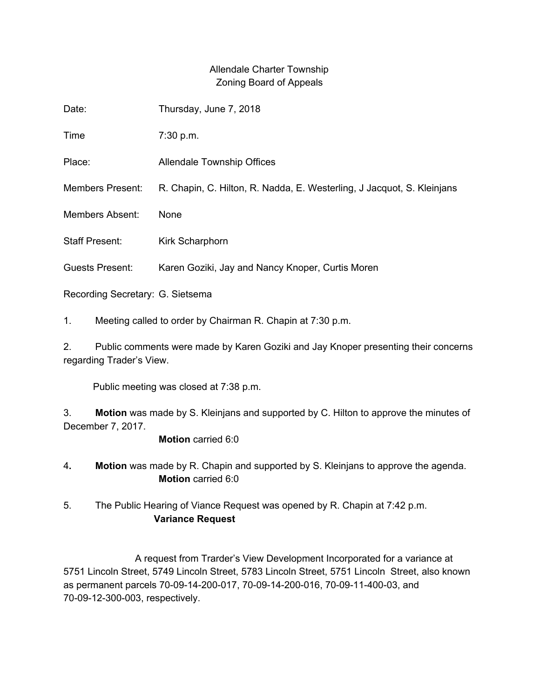## Allendale Charter Township Zoning Board of Appeals

| Date:                                                            | Thursday, June 7, 2018                                                 |
|------------------------------------------------------------------|------------------------------------------------------------------------|
| Time                                                             | 7:30 p.m.                                                              |
| Place:                                                           | Allendale Township Offices                                             |
| <b>Members Present:</b>                                          | R. Chapin, C. Hilton, R. Nadda, E. Westerling, J Jacquot, S. Kleinjans |
| <b>Members Absent:</b>                                           | <b>None</b>                                                            |
| <b>Staff Present:</b>                                            | <b>Kirk Scharphorn</b>                                                 |
| <b>Guests Present:</b>                                           | Karen Goziki, Jay and Nancy Knoper, Curtis Moren                       |
| Recording Secretary: G. Sietsema                                 |                                                                        |
| 1.<br>Meeting called to order by Chairman R. Chapin at 7:30 p.m. |                                                                        |

2. Public comments were made by Karen Goziki and Jay Knoper presenting their concerns regarding Trader's View.

Public meeting was closed at 7:38 p.m.

3. **Motion** was made by S. Kleinjans and supported by C. Hilton to approve the minutes of December 7, 2017.

## **Motion** carried 6:0

- 4**. Motion** was made by R. Chapin and supported by S. Kleinjans to approve the agenda. **Motion** carried 6:0
- 5. The Public Hearing of Viance Request was opened by R. Chapin at 7:42 p.m. **Variance Request**

A request from Trarder's View Development Incorporated for a variance at 5751 Lincoln Street, 5749 Lincoln Street, 5783 Lincoln Street, 5751 Lincoln Street, also known as permanent parcels 70-09-14-200-017, 70-09-14-200-016, 70-09-11-400-03, and 70-09-12-300-003, respectively.